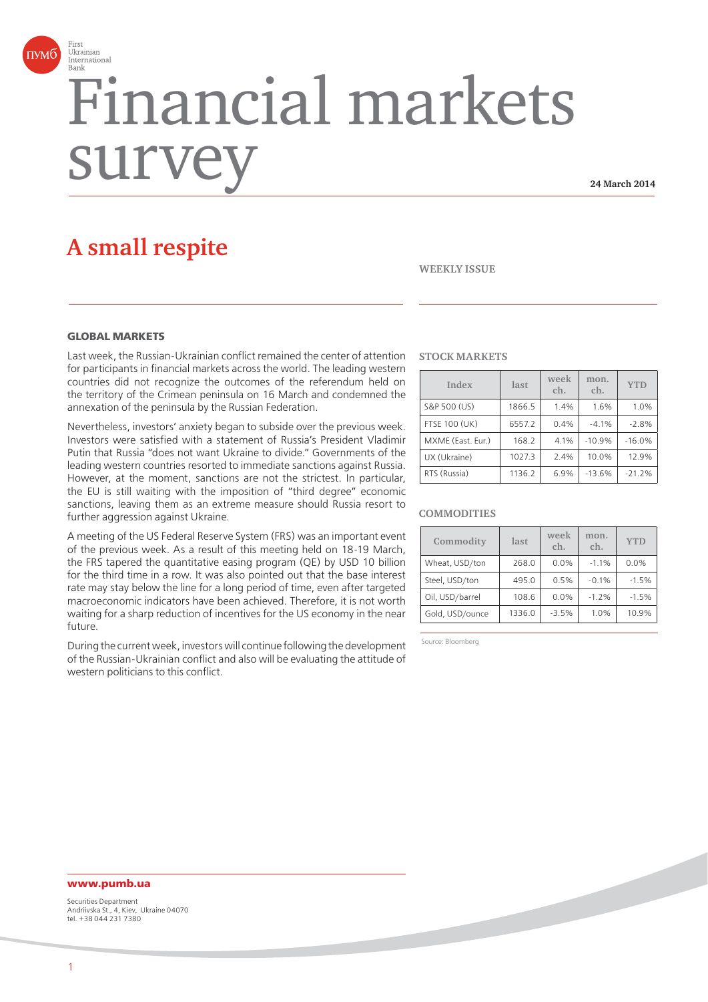

# Financial markets surv

**24 March 2014**

# **A small respite**

#### **WEEKLY ISSUE**

#### **GLOBAL MARKETS**

Last week, the Russian-Ukrainian conflict remained the center of attention for participants in financial markets across the world. The leading western countries did not recognize the outcomes of the referendum held on the territory of the Crimean peninsula on 16 March and condemned the annexation of the peninsula by the Russian Federation.

Nevertheless, investors' anxiety began to subside over the previous week. Investors were satisfied with a statement of Russia's President Vladimir Putin that Russia "does not want Ukraine to divide." Governments of the leading western countries resorted to immediate sanctions against Russia. However, at the moment, sanctions are not the strictest. In particular, the EU is still waiting with the imposition of "third degree" economic sanctions, leaving them as an extreme measure should Russia resort to further aggression against Ukraine.

A meeting of the US Federal Reserve System (FRS) was an important event of the previous week. As a result of this meeting held on 18-19 March, the FRS tapered the quantitative easing program (QE) by USD 10 billion for the third time in a row. It was also pointed out that the base interest rate may stay below the line for a long period of time, even after targeted macroeconomic indicators have been achieved. Therefore, it is not worth waiting for a sharp reduction of incentives for the US economy in the near future.

During the current week, investors will continue following the development of the Russian-Ukrainian conflict and also will be evaluating the attitude of western politicians to this conflict.

#### **STOCK MARKETS**

| Index                | last   | week<br>ch. | mon.<br>ch. | <b>YTD</b> |
|----------------------|--------|-------------|-------------|------------|
| S&P 500 (US)         | 1866.5 | 1.4%        | 1.6%        | 1.0%       |
| <b>FTSE 100 (UK)</b> | 6557.2 | 0.4%        | $-4.1%$     | $-2.8%$    |
| MXME (East. Eur.)    | 168.2  | 4.1%        | $-10.9%$    | $-16.0%$   |
| UX (Ukraine)         | 1027.3 | 2.4%        | 10.0%       | 12.9%      |
| RTS (Russia)         | 1136.2 | 6.9%        | $-13.6%$    | $-21.2%$   |

#### **COMMODITIES**

| Commodity       | last   | week<br>ch. | mon.<br>ch. | <b>YTD</b> |
|-----------------|--------|-------------|-------------|------------|
| Wheat, USD/ton  | 268.0  | 0.0%        | $-1.1%$     | 0.0%       |
| Steel, USD/ton  | 495.0  | 0.5%        | $-0.1%$     | $-1.5%$    |
| Oil, USD/barrel | 108.6  | 0.0%        | $-1.2%$     | $-1.5%$    |
| Gold, USD/ounce | 1336.0 | $-3.5%$     | 1.0%        | 10.9%      |

Source: Bloomberg

# **www.pumb.ua**

Securities Department Andriivska St., 4, Kiev, Ukraine 04070 tel. +38 044 231 7380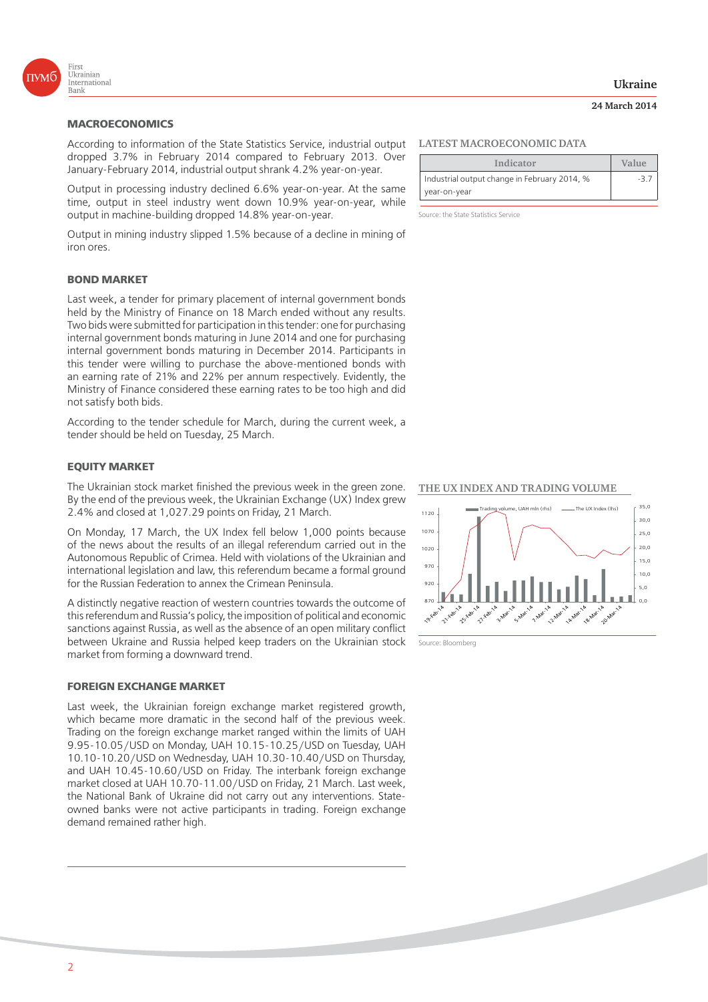

#### **MACROECONOMICS**

Output in processing industry declined 6.6% year-on-year. At the same time, output in steel industry went down 10.9% year-on-year, while output in machine-building dropped 14.8% year-on-year.

Output in mining industry slipped 1.5% because of a decline in mining of iron ores.

#### **BOND MARKET**

Last week, a tender for primary placement of internal government bonds held by the Ministry of Finance on 18 March ended without any results. Two bids were submitted for participation in this tender: one for purchasing internal government bonds maturing in June 2014 and one for purchasing internal government bonds maturing in December 2014. Participants in this tender were willing to purchase the above-mentioned bonds with an earning rate of 21% and 22% per annum respectively. Evidently, the Ministry of Finance considered these earning rates to be too high and did not satisfy both bids.

According to the tender schedule for March, during the current week, a tender should be held on Tuesday, 25 March.

#### **EQUITY MARKET**

The Ukrainian stock market finished the previous week in the green zone. By the end of the previous week, the Ukrainian Exchange (UX) Index grew 2.4% and closed at 1,027.29 points on Friday, 21 March.

On Monday, 17 March, the UX Index fell below 1,000 points because of the news about the results of an illegal referendum carried out in the Autonomous Republic of Crimea. Held with violations of the Ukrainian and international legislation and law, this referendum became a formal ground for the Russian Federation to annex the Crimean Peninsula.

A distinctly negative reaction of western countries towards the outcome of this referendum and Russia's policy, the imposition of political and economic sanctions against Russia, as well as the absence of an open military conflict between Ukraine and Russia helped keep traders on the Ukrainian stock market from forming a downward trend.

#### **FOREIGN EXCHANGE MARKET**

Last week, the Ukrainian foreign exchange market registered growth, which became more dramatic in the second half of the previous week. Trading on the foreign exchange market ranged within the limits of UAH 9.95-10.05/USD on Monday, UAH 10.15-10.25/USD on Tuesday, UAH 10.10-10.20/USD on Wednesday, UAH 10.30-10.40/USD on Thursday, and UAH 10.45-10.60/USD on Friday. The interbank foreign exchange market closed at UAH 10.70-11.00/USD on Friday, 21 March. Last week, the National Bank of Ukraine did not carry out any interventions. Stateowned banks were not active participants in trading. Foreign exchange demand remained rather high.

#### **LATEST MACROECONOMIC DATA**

| Indicator                                    | Value |
|----------------------------------------------|-------|
| Industrial output change in February 2014, % | -37   |
| year-on-year                                 |       |

Source: the State Statistics Service

**THE UX INDEX AND TRADING VOLUME** 



Source: Bloomberg

# **Ukraine**

# **24 March 2014**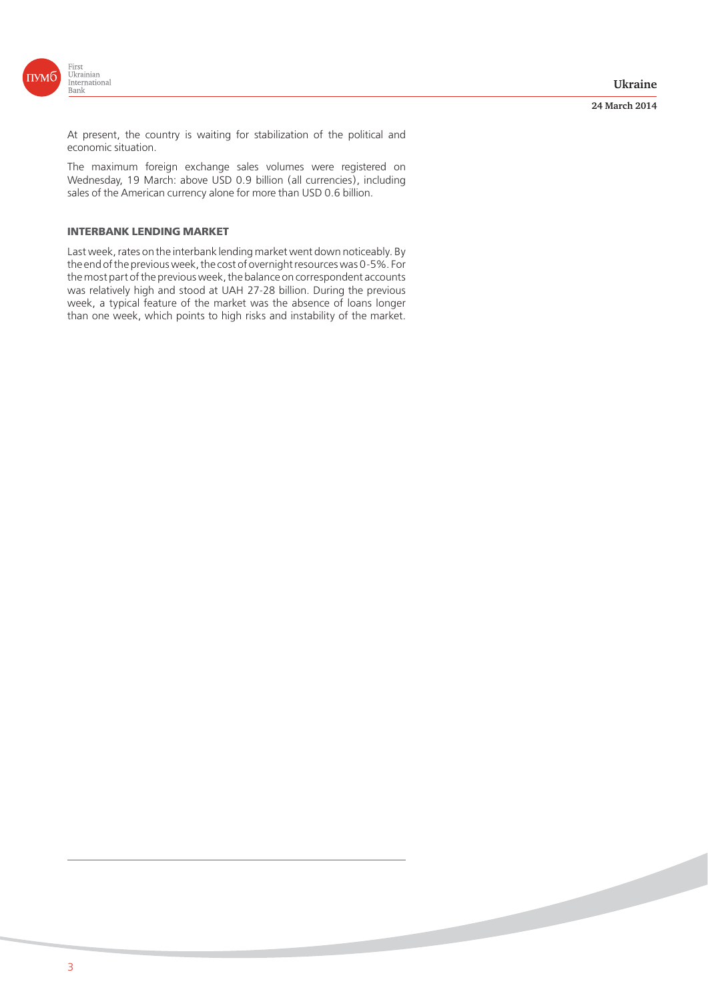

#### **24 March 2014**



At present, the country is waiting for stabilization of the political and economic situation.

The maximum foreign exchange sales volumes were registered on Wednesday, 19 March: above USD 0.9 billion (all currencies), including sales of the American currency alone for more than USD 0.6 billion.

## **INTERBANK LENDING MARKET**

Last week, rates on the interbank lending market went down noticeably. By the end of the previous week, the cost of overnight resources was 0-5%. For the most part of the previous week, the balance on correspondent accounts was relatively high and stood at UAH 27-28 billion. During the previous week, a typical feature of the market was the absence of loans longer than one week, which points to high risks and instability of the market.